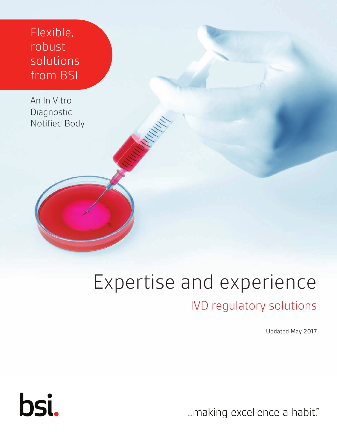Flexible, robust solutions from BSI

An In Vitro Diagnostic Notified Body

## Expertise and experience

## IVD regulatory solutions

Updated May 2017

... making excellence a habit."

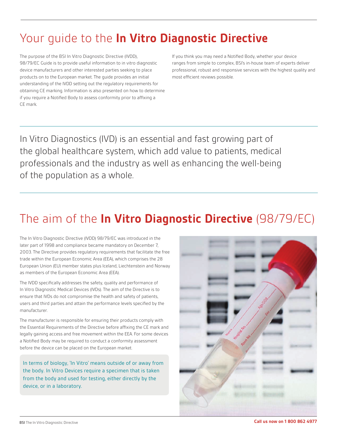## Your guide to the **In Vitro Diagnostic Directive**

The purpose of the BSI In Vitro Diagnostic Directive (IVDD), 98/79/EC Guide is to provide useful information to in vitro diagnostic device manufacturers and other interested parties seeking to place products on to the European market. The guide provides an initial understanding of the IVDD setting out the regulatory requirements for obtaining CE marking. Information is also presented on how to determine if you require a Notified Body to assess conformity prior to affixing a CE mark.

If you think you may need a Notified Body, whether your device ranges from simple to complex, BSI's in-house team of experts deliver professional, robust and responsive services with the highest quality and most efficient reviews possible.

In Vitro Diagnostics (IVD) is an essential and fast growing part of the global healthcare system, which add value to patients, medical professionals and the industry as well as enhancing the well-being of the population as a whole.

## The aim of the **In Vitro Diagnostic Directive** (98/79/EC)

The In Vitro Diagnostic Directive (IVDD) 98/79/EC was introduced in the later part of 1998 and compliance became mandatory on December 7, 2003. The Directive provides regulatory requirements that facilitate the free trade within the European Economic Area (EEA), which comprises the 28 European Union (EU) member states plus Iceland, Liechtenstein and Norway as members of the European Economic Area (EEA).

The IVDD specifically addresses the safety, quality and performance of In Vitro Diagnostic Medical Devices (IVDs). The aim of the Directive is to ensure that IVDs do not compromise the health and safety of patients, users and third parties and attain the performance levels specified by the manufacturer.

The manufacturer is responsible for ensuring their products comply with the Essential Requirements of the Directive before affixing the CE mark and legally gaining access and free movement within the EEA. For some devices a Notified Body may be required to conduct a conformity assessment before the device can be placed on the European market.

In terms of biology, 'In Vitro' means outside of or away from the body. In Vitro Devices require a specimen that is taken from the body and used for testing, either directly by the device, or in a laboratory.

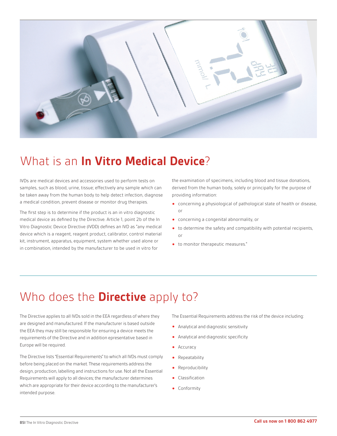

## What is an **In Vitro Medical Device**?

IVDs are medical devices and accessories used to perform tests on samples, such as blood, urine, tissue; effectively any sample which can be taken away from the human body to help detect infection, diagnose a medical condition, prevent disease or monitor drug therapies.

The first step is to determine if the product is an in vitro diagnostic medical device as defined by the Directive. Article 1, point 2b of the In Vitro Diagnostic Device Directive (IVDD) defines an IVD as "any medical device which is a reagent, reagent product, calibrator, control material kit, instrument, apparatus, equipment, system whether used alone or in combination, intended by the manufacturer to be used in vitro for

the examination of specimens, including blood and tissue donations, derived from the human body, solely or principally for the purpose of providing information:

- **•** concerning a physiological of pathological state of health or disease, or
- **•** concerning a congenital abnormality, or
- **•** to determine the safety and compatibility with potential recipients, or
- **•** to monitor therapeutic measures."

## Who does the **Directive** apply to?

The Directive applies to all IVDs sold in the EEA regardless of where they are designed and manufactured. If the manufacturer is based outside the EEA they may still be responsible for ensuring a device meets the requirements of the Directive and in addition epresentative based in Europe will be required.

The Directive lists "Essential Requirements" to which all IVDs must comply before being placed on the market. These requirements address the design, production, labelling and instructions for use. Not all the Essential Requirements will apply to all devices; the manufacturer determines which are appropriate for their device according to the manufacturer's intended purpose.

The Essential Requirements address the risk of the device including:

- **•** Analytical and diagnostic sensitivity
- **•** Analytical and diagnostic specificity
- **•** Accuracy
- **•** Repeatability
- **•** Reproducibility
- **•** Classification
- **•** Conformity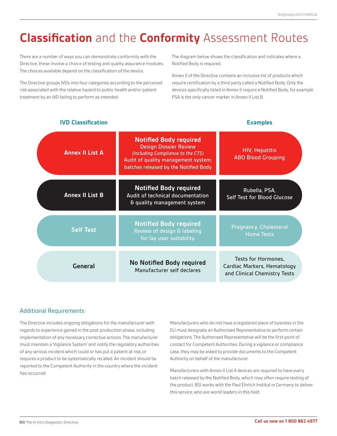## **Classification** and the **Conformity** Assessment Routes

There are a number of ways you can demonstrate conformity with the Directive, these involve a choice of testing and quality assurance modules. The choices available depend on the classification of the device.

The Directive groups IVDs into four categories according to the perceived risk associated with the relative hazard to public health and/or patient treatment by an IVD failing to perform as intended.

The diagram below shows the classification and indicates where a Notified Body is required.

Annex II of the Directive contains an inclusive list of products which require certification by a third party called a Notified Body. Only the devices specifically listed in Annex II require a Notified Body, for example PSA is the only cancer marker in Annex II List B.

#### **General** Tests for Hormones, Cardiac Markers, Hematology and Clinical Chemistry Tests Pregnancy, Cholesterol Home Tests Rubella, PSA, Self Test for Blood Glucose HIV, Hepatitis ABO Blood Grouping **No Notified Body required** Manufacturer self declares **Notified Body required** Review of design & labeling for lay user suitability **Notified Body required** Audit of technical documentation & quality management system **Notified Body required** Design Dossier Review *(Including Compliance to the CTS)* Audit of quality management system; batches released by the Notified Body **Self Test Annex II List B Annex II List A**

#### **IVD Classification Examples**

#### Additional Requirements

The Directive includes ongoing obligations for the manufacturer with regards to experience gained in the post-production phase, including implementation of any necessary corrective actions. The manufacturer must maintain a 'Vigilance System' and notify the regulatory authorities of any serious incident which could or has put a patient at risk, or requires a product to be systematically recalled. An incident should be reported to the Competent Authority in the country where the incident has occurred.

Manufacturers who do not have a registered place of business in the EU must designate an Authorised Representative to perform certain obligations. The Authorised Representative will be the first point of contact for Competent Authorities. During a vigilance or compliance case, they may be asked to provide documents to the Competent Authority on behalf of the manufacturer.

Manufacturers with Annex II List A devices are required to have every batch released by the Notified Body, which may often require testing of the product. BSI works with the Paul Ehrlich Institut in Germany to deliver this service, who are world leaders in this field.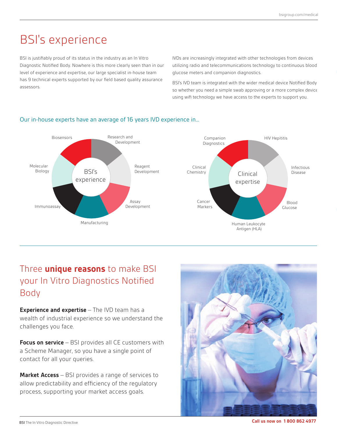## BSI's experience

BSI is justifiably proud of its status in the industry as an In Vitro Diagnostic Notified Body. Nowhere is this more clearly seen than in our level of experience and expertise, our large specialist in-house team has 9 technical experts supported by our field based quality assurance assessors.

IVDs are increasingly integrated with other technologies from devices utilizing radio and telecommunications technology to continuous blood glucose meters and companion diagnostics.

BSI's IVD team is integrated with the wider medical device Notified Body so whether you need a simple swab approving or a more complex device using wifi technology we have access to the experts to support you.



#### Our in-house experts have an average of 16 years IVD experience in...

### Three **unique reasons** to make BSI your In Vitro Diagnostics Notified Body

**Experience and expertise** – The IVD team has a wealth of industrial experience so we understand the challenges you face.

**Focus on service** – BSI provides all CE customers with a Scheme Manager, so you have a single point of contact for all your queries.

**Market Access** – BSI provides a range of services to allow predictability and efficiency of the regulatory process, supporting your market access goals.